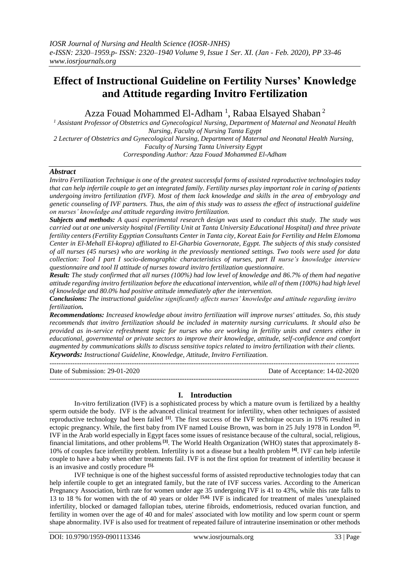# **Effect of Instructional Guideline on Fertility Nurses' Knowledge and Attitude regarding Invitro Fertilization**

Azza Fouad Mohammed El-Adham<sup>1</sup>, Rabaa Elsayed Shaban<sup>2</sup>

*<sup>1</sup> Assistant Professor of Obstetrics and Gynecological Nursing, Department of Maternal and Neonatal Health Nursing, Faculty of Nursing Tanta Egypt 2 Lecturer of Obstetrics and Gynecological Nursing, Department of Maternal and Neonatal Health Nursing,* 

*Faculty of Nursing Tanta University Egypt* 

*Corresponding Author: Azza Fouad Mohammed El-Adham*

## *Abstract*

*Invitro Fertilization Technique is one of the greatest successful forms of assisted reproductive technologies today that can help infertile couple to get an integrated family. Fertility nurses play important role in caring of patients undergoing invitro fertilization (IVF). Most of them lack knowledge and skills in the area of embryology and genetic counseling of IVF partners. Thus, the aim of this study was to assess the effect of instructional guideline on nurses' knowledge and attitude regarding invitro fertilization.* 

*Subjects and methods: A quasi experimental research design was used to conduct this study. The study was carried out at one university hospital (Fertility Unit at Tanta University Educational Hospital) and three private fertility centers (Fertility Egyptian Consultants Center in Tanta city, Koreat Eain for Fertility and Helm Elomoma Center in El-Mehall El-kopra) affiliated to El-Gharbia Governorate, Egypt. The subjects of this study consisted of all nurses (45 nurses) who are working in the previously mentioned settings. Two tools were used for data collection: Tool I part I socio-demographic characteristics of nurses, part II nurse's knowledge interview questionnaire and tool II attitude of nurses toward invitro fertilization questionnaire.*

*Result: The study confirmed that all nurses (100%) had low level of knowledge and 86.7% of them had negative attitude regarding invitro fertilization before the educational intervention, while all of them (100%) had high level of knowledge and 80.0% had positive attitude immediately after the intervention.*

*Conclusions: The instructional guideline significantly affects nurses' knowledge and attitude regarding invitro fertilization.*

*Recommendations: Increased knowledge about invitro fertilization will improve nurses' attitudes. So, this study recommends that invitro fertilization should be included in maternity nursing curriculums. It should also be provided as in-service refreshment topic for nurses who are working in fertility units and centers either in educational, governmental or private sectors to improve their knowledge, attitude, self-confidence and comfort augmented by communications skills to discuss sensitive topics related to invitro fertilization with their clients. Keywords: Instructional Guideline, Knowledge, Attitude, Invitro Fertilization.*

| Date of Submission: 29-01-2020 | Date of Acceptance: 14-02-2020 |
|--------------------------------|--------------------------------|
|                                |                                |

# **I. Introduction**

In-vitro fertilization (IVF) is a sophisticated process by which a mature ovum is fertilized by a healthy sperm outside the body. IVF is the advanced clinical treatment for infertility, when other techniques of assisted reproductive technology had been failed **[1]**. The first success of the IVF technique occurs in 1976 resulted in ectopic pregnancy. While, the first baby from IVF named Louise Brown, was born in 25 July 1978 in London <sup>[2]</sup>. IVF in the Arab world especially in Egypt faces some issues of resistance because of the cultural, social, religious, financial limitations, and other problems**[3]** . The World Health Organization (WHO) states that approximately 8- 10% of couples face infertility problem. Infertility is not a disease but a health problem **[4]**. IVF can help infertile couple to have a baby when other treatments fail. IVF is not the first option for treatment of infertility because it is an invasive and costly procedure **[5].**

IVF technique is one of the highest successful forms of assisted reproductive technologies today that can help infertile couple to get an integrated family, but the rate of IVF success varies. According to the American Pregnancy Association, birth rate for women under age 35 undergoing IVF is 41 to 43%, while this rate falls to 13 to 18 % for women with the of 40 years or older <sup>[5,6]</sup>. IVF is indicated for treatment of males 'unexplained infertility, blocked or damaged fallopian tubes, uterine fibroids, endometriosis, reduced ovarian function, and fertility in women over the age of 40 and for males' associated with low motility and low sperm count or sperm shape abnormality. IVF is also used for treatment of repeated failure of intrauterine insemination or other methods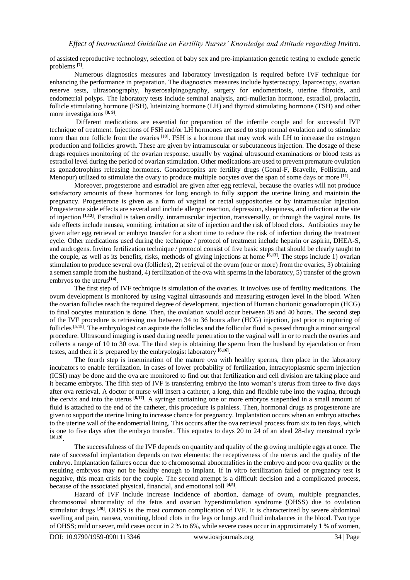of assisted reproductive technology, selection of baby sex and pre-implantation genetic testing to exclude genetic problems **[7]** .

Numerous diagnostics measures and laboratory investigation is required before IVF technique for enhancing the performance in preparation. The diagnostics measures include hysteroscopy, laparoscopy, ovarian reserve tests, ultrasonography, hysterosalpingography, surgery for endometriosis, uterine fibroids, and endometrial polyps. The laboratory tests include seminal analysis, anti-mullerian hormone, estradiol, prolactin, follicle stimulating hormone (FSH), luteinizing hormone (LH) and thyroid stimulating hormone (TSH) and other more investigations **[8, 9]** .

Different medications are essential for preparation of the infertile couple and for successful IVF technique of treatment. Injections of FSH and/or LH hormones are used to stop normal ovulation and to stimulate more than one follicle from the ovaries <sup>[10]</sup>. FSH is a hormone that may work with LH to increase the estrogen production and follicles growth. These are given by intramuscular or subcutaneous injection. The dosage of these drugs requires monitoring of the ovarian response, usually by vaginal ultrasound examinations or blood tests as estradiol level during the period of ovarian stimulation. Other medications are used to prevent premature ovulation as gonadotrophins releasing hormones. Gonadotropins are fertility drugs (Gonal-F, Bravelle, Follistim, and Menopur) utilized to stimulate the ovary to produce multiple oocytes over the span of some days or more **[11]** .

Moreover, progesterone and estradiol are given after egg retrieval, because the ovaries will not produce satisfactory amounts of these hormones for long enough to fully support the uterine lining and maintain the pregnancy. Progesterone is given as a form of vaginal or rectal suppositories or by intramuscular injection. Progesterone side effects are several and include allergic reaction, depression, sleepiness, and infection at the site of injection **[1,12]** . Estradiol is taken orally, intramuscular injection, transversally, or through the vaginal route. Its side effects include nausea, vomiting, irritation at site of injection and the risk of blood clots. Antibiotics may be given after egg retrieval or embryo transfer for a short time to reduce the risk of infection during the treatment cycle. Other medications used during the technique / protocol of treatment include heparin or aspirin, DHEA-S, and androgens. Invitro fertilization technique / protocol consist of five basic steps that should be clearly taught to the couple, as well as its benefits, risks, methods of giving injections at home **[6,13]** . The steps include 1) ovarian stimulation to produce several ova (follicles), 2) retrieval of the ovum (one or more) from the ovaries, 3) obtaining a semen sample from the husband, 4) fertilization of the ova with sperms in the laboratory, 5) transfer of the grown embryos to the uterus**[14]** .

The first step of IVF technique is simulation of the ovaries. It involves use of fertility medications. The ovum development is monitored by using vaginal ultrasounds and measuring estrogen level in the blood. When the ovarian follicles reach the required degree of development, injection of Human chorionic gonadotropin (HCG) to final oocytes maturation is done. Then, the ovulation would occur between 38 and 40 hours. The second step of the IVF procedure is retrieving ova between 34 to 36 hours after (HCG) injection, just prior to rupturing of follicles [5,15]. The embryologist can aspirate the follicles and the follicular fluid is passed through a minor surgical procedure. Ultrasound imaging is used during needle penetration to the vaginal wall in or to reach the ovaries and collects a range of 10 to 30 ova. The third step is obtaining the sperm from the husband by ejaculation or from testes, and then it is prepared by the embryologist laboratory **[6,16]** .

The fourth step is insemination of the mature ova with healthy sperms, then place in the laboratory incubators to enable fertilization. In cases of lower probability of fertilization, intracytoplasmic sperm injection (ICSI) may be done and the ova are monitored to find out that fertilization and cell division are taking place and it became embryos. The fifth step of IVF is transferring embryo the into woman's uterus from three to five days after ova retrieval. A doctor or nurse will insert a catheter, a long, thin and flexible tube into the vagina, through the cervix and into the uterus **[8,17]**. A syringe containing one or more embryos suspended in a small amount of fluid is attached to the end of the catheter, this procedure is painless. Then, hormonal drugs as progesterone are given to support the uterine lining to increase chance for pregnancy. Implantation occurs when an embryo attaches to the uterine wall of the endometrial lining. This occurs after the ova retrieval process from six to ten days, which is one to five days after the embryo transfer. This equates to days 20 to 24 of an ideal 28-day menstrual cycle **[18,19]** .

The successfulness of the IVF depends on quantity and quality of the growing multiple eggs at once. The rate of successful implantation depends on two elements: the receptiveness of the uterus and the quality of the embryo**.** Implantation failures occur due to chromosomal abnormalities in the embryo and poor ova quality or the resulting embryos may not be healthy enough to implant. If in vitro fertilization failed or pregnancy test is negative, this mean crisis for the couple. The second attempt is a difficult decision and a complicated process, because of the associated physical, financial, and emotional toll **[4,5]** .

Hazard of IVF include increase incidence of abortion, damage of ovum, multiple pregnancies, chromosomal abnormality of the fetus and ovarian hyperstimulation syndrome (OHSS) due to ovulation stimulator drugs **[20]**. OHSS is the most common complication of IVF. It is characterized by severe abdominal swelling and pain, nausea, vomiting, blood clots in the legs or lungs and fluid imbalances in the blood. Two type of OHSS; mild or sever, mild cases occur in 2 % to 6%, while severe cases occur in approximately 1 % of women,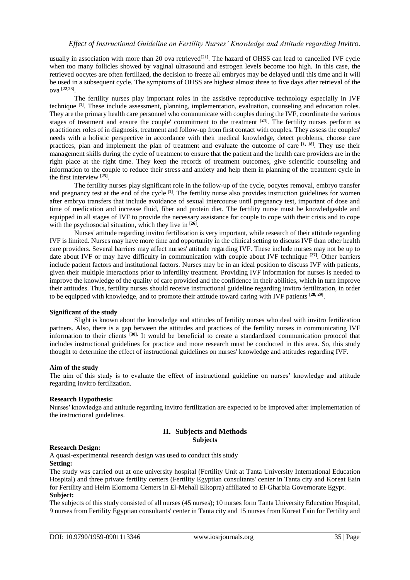usually in association with more than 20 ova retrieved $^{[21]}$ . The hazard of OHSS can lead to cancelled IVF cycle when too many follicles showed by vaginal ultrasound and estrogen levels become too high. In this case, the retrieved oocytes are often fertilized, the decision to freeze all embryos may be delayed until this time and it will be used in a subsequent cycle. The symptoms of OHSS are highest almost three to five days after retrieval of the ova [**22**,**23**] .

The fertility nurses play important roles in the assistive reproductive technology especially in IVF technique **[1]** . These include assessment, planning, implementation, evaluation, counseling and education roles. They are the primary health care personnel who communicate with couples during the IVF, coordinate the various stages of treatment and ensure the couple' commitment to the treatment [**24**] . The fertility nurses perform as practitioner roles of in diagnosis, treatment and follow-up from first contact with couples. They assess the couples' needs with a holistic perspective in accordance with their medical knowledge, detect problems, choose care practices, plan and implement the plan of treatment and evaluate the outcome of care **[1, 18]** . They use their management skills during the cycle of treatment to ensure that the patient and the health care providers are in the right place at the right time. They keep the records of treatment outcomes, give scientific counseling and information to the couple to reduce their stress and anxiety and help them in planning of the treatment cycle in the first interview **[25]** .

The fertility nurses play significant role in the follow-up of the cycle, oocytes removal, embryo transfer and pregnancy test at the end of the cycle **[1]**. The fertility nurse also provides instruction guidelines for women after embryo transfers that include avoidance of sexual intercourse until pregnancy test, important of dose and time of medication and increase fluid, fiber and protein diet. The fertility nurse must be knowledgeable and equipped in all stages of IVF to provide the necessary assistance for couple to cope with their crisis and to cope with the psychosocial situation, which they live in **[26]** .

Nurses' attitude regarding invitro fertilization is very important, while research of their attitude regarding IVF is limited. Nurses may have more time and opportunity in the clinical setting to discuss IVF than other health care providers. Several barriers may affect nurses' attitude regarding IVF. These include nurses may not be up to date about IVF or may have difficulty in communication with couple about IVF technique **[27]** . Other barriers include patient factors and institutional factors. Nurses may be in an ideal position to discuss IVF with patients, given their multiple interactions prior to infertility treatment. Providing IVF information for nurses is needed to improve the knowledge of the quality of care provided and the confidence in their abilities, which in turn improve their attitudes. Thus, fertility nurses should receive instructional guideline regarding invitro fertilization, in order to be equipped with knowledge, and to promote their attitude toward caring with IVF patients **[28, 29]** .

#### **Significant of the study**

Slight is known about the knowledge and attitudes of fertility nurses who deal with invitro fertilization partners. Also, there is a gap between the attitudes and practices of the fertility nurses in communicating IVF information to their clients **[30].** It would be beneficial to create a standardized communication protocol that includes instructional guidelines for practice and more research must be conducted in this area. So, this study thought to determine the effect of instructional guidelines on nurses' knowledge and attitudes regarding IVF.

#### **Aim of the study**

The aim of this study is to evaluate the effect of instructional guideline on nurses' knowledge and attitude regarding invitro fertilization.

#### **Research Hypothesis:**

Nurses′ knowledge and attitude regarding invitro fertilization are expected to be improved after implementation of the instructional guidelines.

#### **II. Subjects and Methods Subjects**

#### **Research Design:**

A quasi-experimental research design was used to conduct this study **Setting:**

The study was carried out at one university hospital (Fertility Unit at Tanta University International Education Hospital) and three private fertility centers (Fertility Egyptian consultants' center in Tanta city and Koreat Eain for Fertility and Helm Elomoma Centers in El-Mehall Elkopra) affiliated to El-Gharbia Governorate Egypt. **Subject:**

The subjects of this study consisted of all nurses (45 nurses); 10 nurses form Tanta University Education Hospital, 9 nurses from Fertility Egyptian consultants' center in Tanta city and 15 nurses from Koreat Eain for Fertility and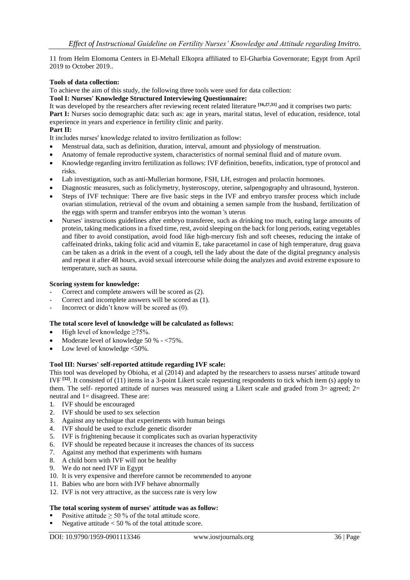11 from Helm Elomoma Centers in El-Mehall Elkopra affiliated to El-Gharbia Governorate; Egypt from April 2019 to October 2019..

#### **Tools of data collection:**

To achieve the aim of this study, the following three tools were used for data collection:

#### **Tool I: Nurses' Knowledge Structured Interviewing Questionnaire:**

It was developed by the researchers after reviewing recent related literature **[16,27,31]** and it comprises two parts: **Part I:** Nurses socio demographic data: such as: age in years, marital status, level of education, residence, total experience in years and experience in fertility clinic and parity.

### **Part II:**

It includes nurses′ knowledge related to invitro fertilization as follow:

- Menstrual data, such as definition, duration, interval, amount and physiology of menstruation.
- Anatomy of female reproductive system, characteristics of normal seminal fluid and of mature ovum.
- Knowledge regarding invitro fertilization as follows: IVF definition, benefits, indication, type of protocol and risks.
- Lab investigation, such as anti-Mullerian hormone, FSH, LH, estrogen and prolactin hormones.
- Diagnostic measures, such as foliclymetry, hysteroscopy, uterine, salpengography and ultrasound, hysteron.
- Steps of IVF technique: There are five basic steps in the IVF and embryo transfer process which include ovarian stimulation, retrieval of the ovum and obtaining a semen sample from the husband, fertilization of the eggs with sperm and transfer embryos into the woman 's uterus
- Nurses' instructions guidelines after embryo transferee, such as drinking too much, eating large amounts of protein, taking medications in a fixed time, rest, avoid sleeping on the back for long periods, eating vegetables and fiber to avoid constipation, avoid food like high-mercury fish and soft cheeses, reducing the intake of caffeinated drinks, taking folic acid and vitamin E, take paracetamol in case of high temperature, drug guava can be taken as a drink in the event of a cough, tell the lady about the date of the digital pregnancy analysis and repeat it after 48 hours, avoid sexual intercourse while doing the analyzes and avoid extreme exposure to temperature, such as sauna.

#### **Scoring system for knowledge:**

- Correct and complete answers will be scored as  $(2)$ .
- Correct and incomplete answers will be scored as (1).
- Incorrect or didn't know will be scored as  $(0)$ .

## **The total score level of knowledge will be calculated as follows:**

- High level of knowledge  $\geq 75\%$ .
- Moderate level of knowledge 50 % <75%.
- Low level of knowledge <50%.

#### **Tool III: Nurses' self-reported attitude regarding IVF scale:**

This tool was developed by Obioha, et al (2014) and adapted by the researchers to assess nurses' attitude toward IVF **[32]**. It consisted of (11) items in a 3-point Likert scale requesting respondents to tick which item (s) apply to them. The self- reported attitude of nurses was measured using a Likert scale and graded from 3= agreed; 2= neutral and 1= disagreed. These are:

- 1. IVF should be encouraged
- 2. IVF should be used to sex selection
- 3. Against any technique that experiments with human beings
- 4. IVF should be used to exclude genetic disorder
- 5. IVF is frightening because it complicates such as ovarian hyperactivity
- 6. IVF should be repeated because it increases the chances of its success
- 7. Against any method that experiments with humans
- 8. A child born with IVF will not be healthy
- 9. We do not need IVF in Egypt
- 10. It is very expensive and therefore cannot be recommended to anyone
- 11. Babies who are born with IVF behave abnormally
- 12. IVF is not very attractive, as the success rate is very low

#### **The total scoring system of nurses' attitude was as follow:**

- Positive attitude  $\geq 50$  % of the total attitude score.
- Negative attitude  $< 50 %$  of the total attitude score.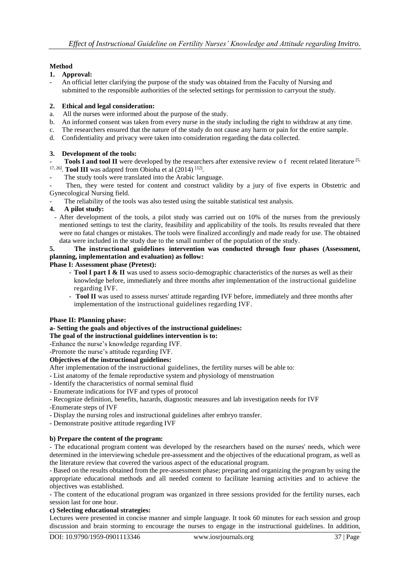# **Method**

# **1. Approval:**

- An official letter clarifying the purpose of the study was obtained from the Faculty of Nursing and submitted to the responsible authorities of the selected settings for permission to carryout the study.

# **2. Ethical and legal consideration:**

- a. All the nurses were informed about the purpose of the study.
- b. An informed consent was taken from every nurse in the study including the right to withdraw at any time.
- c. The researchers ensured that the nature of the study do not cause any harm or pain for the entire sample.
- d. Confidentiality and privacy were taken into consideration regarding the data collected.

# **3. Development of the tools:**

- **Tools I and tool II** were developed by the researchers after extensive review of recent related literature [5,  $17, 26$ ]. **Tool III** was adapted from Obioha et al  $(2014)$   $[32]$ .
- The study tools were translated into the Arabic language.
- Then, they were tested for content and construct validity by a jury of five experts in Obstetric and Gynecological Nursing field.
- The reliability of the tools was also tested using the suitable statistical test analysis.

## **4. A pilot study:**

- After development of the tools, a pilot study was carried out on 10% of the nurses from the previously mentioned settings to test the clarity, feasibility and applicability of the tools. Its results revealed that there were no fatal changes or mistakes. The tools were finalized accordingly and made ready for use. The obtained data were included in the study due to the small number of the population of the study.

# **5. The instructional guidelines intervention was conducted through four phases (Assessment, planning, implementation and evaluation) as follow:**

## **Phase I: Assessment phase (Pretest):**

- **Tool I part I & II** was used to assess socio-demographic characteristics of the nurses as well as their knowledge before, immediately and three months after implementation of the instructional guideline regarding IVF.
- **Tool II** was used to assess nurses' attitude regarding IVF before, immediately and three months after implementation of the instructional guidelines regarding IVF.

## **Phase II: Planning phase:**

## **a- Setting the goals and objectives of the instructional guidelines:**

- **The goal of the instructional guidelines intervention is to:**
- -Enhance the nurse's knowledge regarding IVF.
- -Promote the nurse's attitude regarding IVF.

## **Objectives of the instructional guidelines:**

After implementation of the instructional guidelines, the fertility nurses will be able to:

- List anatomy of the female reproductive system and physiology of menstruation
- Identify the characteristics of normal seminal fluid
- Enumerate indications for IVF and types of protocol
- Recognize definition, benefits, hazards, diagnostic measures and lab investigation needs for IVF
- -Enumerate steps of IVF
- Display the nursing roles and instructional guidelines after embryo transfer.
- Demonstrate positive attitude regarding IVF

## **b) Prepare the content of the program:**

- The educational program content was developed by the researchers based on the nurses' needs, which were determined in the interviewing schedule pre-assessment and the objectives of the educational program, as well as the literature review that covered the various aspect of the educational program.

- Based on the results obtained from the pre-assessment phase; preparing and organizing the program by using the appropriate educational methods and all needed content to facilitate learning activities and to achieve the objectives was established.

- The content of the educational program was organized in three sessions provided for the fertility nurses, each session last for one hour.

## **c) Selecting educational strategies:**

Lectures were presented in concise manner and simple language. It took 60 minutes for each session and group discussion and brain storming to encourage the nurses to engage in the instructional guidelines. In addition,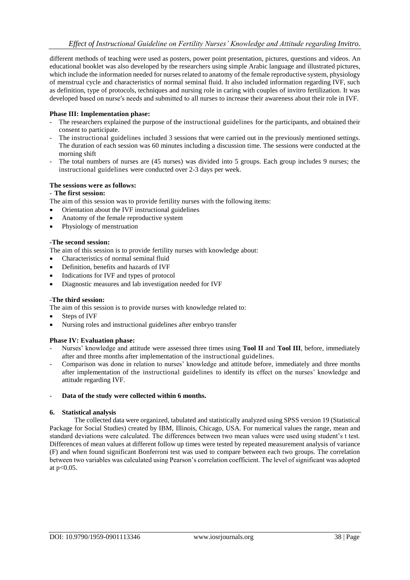different methods of teaching were used as posters, power point presentation, pictures, questions and videos. An educational booklet was also developed by the researchers using simple Arabic language and illustrated pictures, which include the information needed for nurses related to anatomy of the female reproductive system, physiology of menstrual cycle and characteristics of normal seminal fluid. It also included information regarding IVF, such as definition, type of protocols, techniques and nursing role in caring with couples of invitro fertilization. It was developed based on nurse′s needs and submitted to all nurses to increase their awareness about their role in IVF.

### **Phase III: Implementation phase:**

- The researchers explained the purpose of the instructional guidelines for the participants, and obtained their consent to participate.
- The instructional guidelines included 3 sessions that were carried out in the previously mentioned settings. The duration of each session was 60 minutes including a discussion time. The sessions were conducted at the morning shift
- The total numbers of nurses are (45 nurses) was divided into 5 groups. Each group includes 9 nurses; the instructional guidelines were conducted over 2-3 days per week.

#### **The sessions were as follows:**

#### - **The first session:**

The aim of this session was to provide fertility nurses with the following items:

- Orientation about the IVF instructional guidelines
- Anatomy of the female reproductive system
- Physiology of menstruation

#### **-The second session:**

The aim of this session is to provide fertility nurses with knowledge about:

- Characteristics of normal seminal fluid
- Definition, benefits and hazards of IVF
- Indications for IVF and types of protocol
- Diagnostic measures and lab investigation needed for IVF

#### -**The third session:**

The aim of this session is to provide nurses with knowledge related to:

- Steps of IVF
- Nursing roles and instructional guidelines after embryo transfer

#### **Phase IV: Evaluation phase:**

- Nurses' knowledge and attitude were assessed three times using **Tool II** and **Tool III**, before, immediately after and three months after implementation of the instructional guidelines.
- Comparison was done in relation to nurses' knowledge and attitude before, immediately and three months after implementation of the instructional guidelines to identify its effect on the nurses' knowledge and attitude regarding IVF.

#### - **Data of the study were collected within 6 months.**

#### **6. Statistical analysis**

The collected data were organized, tabulated and statistically analyzed using SPSS version 19 (Statistical Package for Social Studies) created by IBM, Illinois, Chicago, USA. For numerical values the range, mean and standard deviations were calculated. The differences between two mean values were used using student's t test. Differences of mean values at different follow up times were tested by repeated measurement analysis of variance (F) and when found significant Bonferroni test was used to compare between each two groups. The correlation between two variables was calculated using Pearson's correlation coefficient. The level of significant was adopted at p<0.05.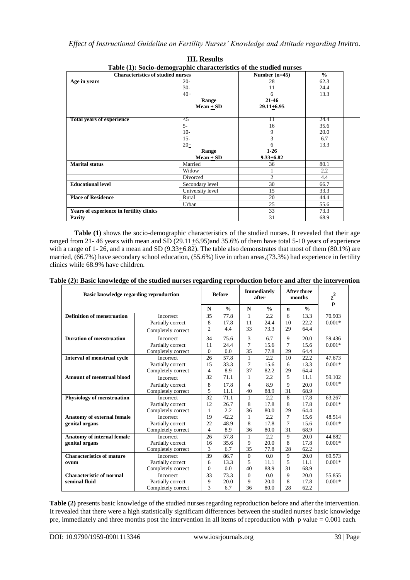|                                          | Table (1): Socio-demographic characteristics of the studied hurses |                 |               |
|------------------------------------------|--------------------------------------------------------------------|-----------------|---------------|
| <b>Characteristics of studied nurses</b> |                                                                    | Number $(n=45)$ | $\frac{0}{0}$ |
| Age in years                             | $20-$                                                              | 28              | 62.3          |
|                                          | $30-$                                                              | 11              | 24.4          |
|                                          | $40+$                                                              | 6               | 13.3          |
|                                          | Range                                                              | 21-46           |               |
|                                          | $Mean + SD$                                                        | $29.11 + 6.95$  |               |
| <b>Total years of experience</b>         | $\leq 5$                                                           | 11              | 24.4          |
|                                          | $5-$                                                               | 16              | 35.6          |
|                                          |                                                                    |                 |               |
|                                          | $10-$                                                              | 9               | 20.0          |
|                                          | $15 -$                                                             | 3               | 6.7           |
|                                          | $20+$                                                              | 6               | 13.3          |
|                                          | Range                                                              | $1-26$          |               |
|                                          | $Mean + SD$                                                        | $9.33 + 6.82$   |               |
| <b>Marital status</b>                    | Married                                                            | 36              | 80.1          |
|                                          | Widow                                                              |                 | $2.2\,$       |
|                                          | Divorced                                                           | $\overline{2}$  | 4.4           |
| <b>Educational level</b>                 | Secondary level                                                    | 30              | 66.7          |
|                                          | University level                                                   | 15              | 33.3          |
| <b>Place of Residence</b>                | Rural                                                              | 20              | 44.4          |
|                                          | Urban                                                              | 25              | 55.6          |
| Years of experience in fertility clinics |                                                                    | 33              | 73.3          |
| Parity                                   |                                                                    | 31              | 68.9          |

| <b>III.</b> Results                                                |
|--------------------------------------------------------------------|
| Table (1): Socio-demographic characteristics of the studied nurses |

Table (1) shows the socio-demographic characteristics of the studied nurses. It revealed that their age ranged from 21- 46 years with mean and SD (29.11+6.95)and 35.6% of them have total 5-10 years of experience with a range of 1- 26, and a mean and SD (9.33 $\pm$ 6.82). The table also demonstrates that most of them (80.1%) are married, (66.7%) have secondary school education, (55.6%) live in urban areas,(73.3%) had experience in fertility clinics while 68.9% have children.

| Table (2): Basic knowledge of the studied nurses regarding reproduction before and after the intervention |  |
|-----------------------------------------------------------------------------------------------------------|--|
|-----------------------------------------------------------------------------------------------------------|--|

| Basic knowledge regarding reproduction |                    |                | <b>Before</b> |              | <b>Immediately</b><br>after |             | After three<br>months | $\chi^2$<br>p |
|----------------------------------------|--------------------|----------------|---------------|--------------|-----------------------------|-------------|-----------------------|---------------|
|                                        |                    | N              | $\frac{0}{0}$ | N            | $\frac{0}{0}$               | $\mathbf n$ | $\frac{0}{0}$         |               |
| <b>Definition of menstruation</b>      | <b>Incorrect</b>   | 35             | 77.8          | 1            | 2.2                         | 6           | 13.3                  | 70.903        |
|                                        | Partially correct  | 8              | 17.8          | 11           | 24.4                        | 10          | 22.2                  | $0.001*$      |
|                                        | Completely correct | $\overline{2}$ | 4.4           | 33           | 73.3                        | 29          | 64.4                  |               |
| <b>Duration of menstruation</b>        | <b>Incorrect</b>   | 34             | 75.6          | 3            | 6.7                         | 9           | 20.0                  | 59.436        |
|                                        | Partially correct  | 11             | 24.4          | 7            | 15.6                        | 7           | 15.6                  | $0.001*$      |
|                                        | Completely correct | $\mathbf{0}$   | 0.0           | 35           | 77.8                        | 29          | 64.4                  |               |
| Interval of menstrual cycle            | Incorrect          | 26             | 57.8          | $\mathbf{1}$ | 2.2                         | 10          | 22.2                  | 47.673        |
|                                        | Partially correct  | 15             | 33.3          | 7            | 15.6                        | 6           | 13.3                  | $0.001*$      |
|                                        | Completely correct | $\overline{4}$ | 8.9           | 37           | 82.2                        | 29          | 64.4                  |               |
| <b>Amount of menstrual blood</b>       | Incorrect          | 32             | 71.1          | 1            | 2.2                         | 5           | 11.1                  | 59.102        |
|                                        | Partially correct  | 8              | 17.8          | 4            | 8.9                         | 9           | 20.0                  | $0.001*$      |
|                                        | Completely correct | 5              | 11.1          | 40           | 88.9                        | 31          | 68.9                  |               |
| <b>Physiology of menstruation</b>      | Incorrect          | 32             | 71.1          | $\mathbf{1}$ | 2.2                         | 8           | 17.8                  | 63.267        |
|                                        | Partially correct  | 12             | 26.7          | 8            | 17.8                        | 8           | 17.8                  | $0.001*$      |
|                                        | Completely correct | 1              | 2.2           | 36           | 80.0                        | 29          | 64.4                  |               |
| <b>Anatomy of external female</b>      | <b>Incorrect</b>   | 19             | 42.2          | 1            | 2.2                         | 7           | 15.6                  | 48.514        |
| genital organs                         | Partially correct  | 22             | 48.9          | 8            | 17.8                        | 7           | 15.6                  | $0.001*$      |
|                                        | Completely correct | 4              | 8.9           | 36           | 80.0                        | 31          | 68.9                  |               |
| <b>Anatomy of internal female</b>      | <b>Incorrect</b>   | 26             | 57.8          | $\mathbf{1}$ | 2.2                         | 9           | 20.0                  | 44.882        |
| genital organs                         | Partially correct  | 16             | 35.6          | 9            | 20.0                        | 8           | 17.8                  | $0.001*$      |
|                                        | Completely correct | 3              | 6.7           | 35           | 77.8                        | 28          | 62.2                  |               |
| <b>Characteristics of mature</b>       | Incorrect          | 39             | 86.7          | $\mathbf{0}$ | 0.0                         | 9           | 20.0                  | 69.573        |
| ovum                                   | Partially correct  | 6              | 13.3          | 5            | 11.1                        | 5           | 11.1                  | $0.001*$      |
|                                        | Completely correct |                | 0.0           | 40           | 88.9                        | 31          | 68.9                  |               |
| <b>Characteristic of normal</b>        | <b>Incorrect</b>   | 33             | 73.3          | $\mathbf{0}$ | 0.0                         | 9           | 20.0                  | 55.855        |
| seminal fluid                          | Partially correct  | 9              | 20.0          | 9            | 20.0                        | 8           | 17.8                  | $0.001*$      |
|                                        | Completely correct | 3              | 6.7           | 36           | 80.0                        | 28          | 62.2                  |               |

**Table (2)** presents basic knowledge of the studied nurses regarding reproduction before and after the intervention. It revealed that there were a high statistically significant differences between the studied nurses' basic knowledge pre, immediately and three months post the intervention in all items of reproduction with p value = 0.001 each.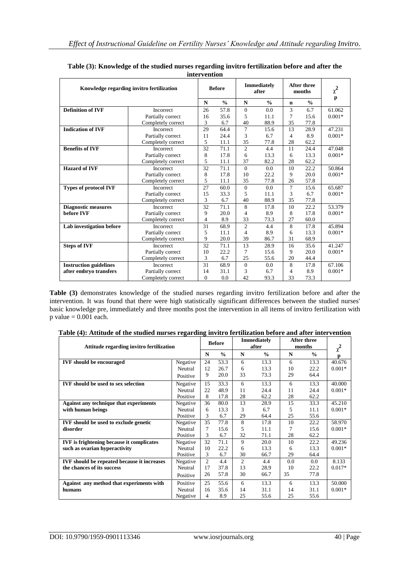| пиег уениоп                               |                    |                |               |                |                             |                |                              |              |  |
|-------------------------------------------|--------------------|----------------|---------------|----------------|-----------------------------|----------------|------------------------------|--------------|--|
| Knowledge regarding invitro fertilization |                    |                | <b>Before</b> |                | <b>Immediately</b><br>after |                | <b>After three</b><br>months | $\chi^2$     |  |
|                                           |                    | N              | $\frac{0}{0}$ | N              | $\frac{0}{0}$               | n              | $\frac{0}{0}$                | $\mathbf{p}$ |  |
| <b>Definition of IVF</b>                  | <b>Incorrect</b>   | 26             | 57.8          | $\overline{0}$ | 0.0                         | 3              | 6.7                          | 61.062       |  |
|                                           | Partially correct  | 16             | 35.6          | 5              | 11.1                        | 7              | 15.6                         | $0.001*$     |  |
|                                           | Completely correct | 3              | 6.7           | 40             | 88.9                        | 35             | 77.8                         |              |  |
| <b>Indication of IVF</b>                  | Incorrect          | 29             | 64.4          | 7              | 15.6                        | 13             | 28.9                         | 47.231       |  |
|                                           | Partially correct  | 11             | 24.4          | 3              | 6.7                         | 4              | 8.9                          | $0.001*$     |  |
|                                           | Completely correct | 5              | 11.1          | 35             | 77.8                        | 28             | 62.2                         |              |  |
| <b>Benefits of IVF</b>                    | <b>Incorrect</b>   | 32             | 71.1          | $\overline{2}$ | 4.4                         | 11             | 24.4                         | 47.048       |  |
|                                           | Partially correct  | 8              | 17.8          | 6              | 13.3                        | 6              | 13.3                         | $0.001*$     |  |
|                                           | Completely correct | 5              | 11.1          | 37             | 82.2                        | 28             | 62.2                         |              |  |
| <b>Hazard of IVF</b>                      | <b>Incorrect</b>   | 32             | 71.1          | $\mathbf{0}$   | 0.0                         | 10             | 22.2                         | 50.864       |  |
|                                           | Partially correct  | 8              | 17.8          | 10             | 22.2                        | 9              | 20.0                         | $0.001*$     |  |
|                                           | Completely correct | 5              | 11.1          | 35             | 77.8                        | 26             | 57.8                         |              |  |
| <b>Types of protocol IVF</b>              | <b>Incorrect</b>   | 27             | 60.0          | $\overline{0}$ | 0.0                         | $\overline{7}$ | 15.6                         | 65.687       |  |
|                                           | Partially correct  | 15             | 33.3          | 5              | 11.1                        | 3              | 6.7                          | $0.001*$     |  |
|                                           | Completely correct | 3              | 6.7           | 40             | 88.9                        | 35             | 77.8                         |              |  |
| <b>Diagnostic measures</b>                | <b>Incorrect</b>   | 32             | 71.1          | 8              | 17.8                        | 10             | 22.2                         | 53.379       |  |
| before IVF                                | Partially correct  | 9              | 20.0          | 4              | 8.9                         | 8              | 17.8                         | $0.001*$     |  |
|                                           | Completely correct | 4              | 8.9           | 33             | 73.3                        | 27             | 60.0                         |              |  |
| Lab investigation before                  | <b>Incorrect</b>   | 31             | 68.9          | $\overline{2}$ | 4.4                         | 8              | 17.8                         | 45.894       |  |
|                                           | Partially correct  | 5              | 11.1          | 4              | 8.9                         | 6              | 13.3                         | $0.001*$     |  |
|                                           | Completely correct | 9              | 20.0          | 39             | 86.7                        | 31             | 68.9                         |              |  |
| <b>Steps of IVF</b>                       | Incorrect          | 32             | 71.1          | 13             | 28.9                        | 16             | 35.6                         | 41.247       |  |
|                                           | Partially correct  | 10             | 22.2          | 7              | 15.6                        | 9              | 20.0                         | $0.001*$     |  |
|                                           | Completely correct | 3              | 6.7           | 25             | 55.6                        | 20             | 44.4                         |              |  |
| <b>Instruction guidelines</b>             | Incorrect          | 31             | 68.9          | $\overline{0}$ | 0.0                         | 8              | 17.8                         | 67.106       |  |
| after embryo transfers                    | Partially correct  | 14             | 31.1          | 3              | 6.7                         | 4              | 8.9                          | $0.001*$     |  |
|                                           | Completely correct | $\overline{0}$ | 0.0           | 42             | 93.3                        | 33             | 73.3                         |              |  |

**Table (3): Knowledge of the studied nurses regarding invitro fertilization before and after the intervention**

**Table (3)** demonstrates knowledge of the studied nurses regarding invitro fertilization before and after the intervention. It was found that there were high statistically significant differences between the studied nurses' basic knowledge pre, immediately and three months post the intervention in all items of invitro fertilization with  $p$  value = 0.001 each.

| Attitude regarding invitro fertilization           |          |                | <b>Before</b> |                | <b>Immediately</b><br>after |     | <b>After three</b><br>months |               |
|----------------------------------------------------|----------|----------------|---------------|----------------|-----------------------------|-----|------------------------------|---------------|
|                                                    |          | N              | $\frac{0}{0}$ | N              | $\frac{0}{0}$               | N   | $\frac{0}{0}$                | $\chi^2$<br>p |
| <b>IVF</b> should be encouraged                    | Negative | 24             | 53.3          | 6              | 13.3                        | 6   | 13.3                         | 40.676        |
|                                                    | Neutral  | 12             | 26.7          | 6              | 13.3                        | 10  | 22.2                         | $0.001*$      |
|                                                    | Positive | 9              | 20.0          | 33             | 73.3                        | 29  | 64.4                         |               |
| <b>IVF</b> should be used to sex selection         | Negative | 15             | 33.3          | 6              | 13.3                        | 6   | 13.3                         | 40.000        |
|                                                    | Neutral  | 22             | 48.9          | 11             | 24.4                        | 11  | 24.4                         | $0.001*$      |
|                                                    | Positive | 8              | 17.8          | 28             | 62.2                        | 28  | 62.2                         |               |
| Against any technique that experiments             | Negative | 36             | 80.0          | 13             | 28.9                        | 15  | 33.3                         | 45.210        |
| with human beings                                  | Neutral  | 6              | 13.3          | 3              | 6.7                         | 5   | 11.1                         | $0.001*$      |
|                                                    | Positive | 3              | 6.7           | 29             | 64.4                        | 25  | 55.6                         |               |
| <b>IVF</b> should be used to exclude genetic       | Negative | 35             | 77.8          | 8              | 17.8                        | 10  | 22.2                         | 58.970        |
| disorder                                           | Neutral  | 7              | 15.6          | 5              | 11.1                        | 7   | 15.6                         | $0.001*$      |
|                                                    | Positive | 3              | 6.7           | 32             | 71.1                        | 28  | 62.2                         |               |
| <b>IVF</b> is frightening because it complicates   | Negative | 32             | 71.1          | 9              | 20.0                        | 10  | 22.2                         | 49.236        |
| such as ovarian hyperactivity                      | Neutral  | 10             | 22.2          | 6              | 13.3                        | 6   | 13.3                         | $0.001*$      |
|                                                    | Positive | 3              | 6.7           | 30             | 66.7                        | 29  | 64.4                         |               |
| <b>IVF</b> should be repeated because it increases | Negative | $\overline{2}$ | 4.4           | $\overline{c}$ | 4.4                         | 0.0 | 0.0                          | 8.133         |
| the chances of its success                         | Neutral  | 17             | 37.8          | 13             | 28.9                        | 10  | 22.2                         | $0.017*$      |
|                                                    | Positive | 26             | 57.8          | 30             | 66.7                        | 35  | 77.8                         |               |
| Against any method that experiments with           | Positive | 25             | 55.6          | 6              | 13.3                        | 6   | 13.3                         | 50.000        |
| humans                                             | Neutral  | 16             | 35.6          | 14             | 31.1                        | 14  | 31.1                         | $0.001*$      |
|                                                    | Negative | 4              | 8.9           | 25             | 55.6                        | 25  | 55.6                         |               |

**Table (4): Attitude of the studied nurses regarding invitro fertilization before and after intervention**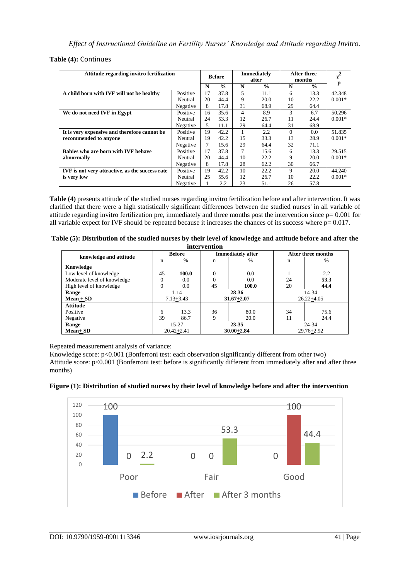**Table (4):** Continues

| Attitude regarding invitro fertilization        |          | <b>Before</b> |               | <b>Immediately</b><br>after |               | <b>After three</b><br>months |               | $\chi^2$ |
|-------------------------------------------------|----------|---------------|---------------|-----------------------------|---------------|------------------------------|---------------|----------|
|                                                 |          | N             | $\frac{0}{0}$ | N                           | $\frac{0}{0}$ | N                            | $\frac{0}{0}$ | p        |
| A child born with IVF will not be healthy       | Positive | 17            | 37.8          | 5                           | 11.1          | 6                            | 13.3          | 42.348   |
|                                                 | Neutral  | 20            | 44.4          | 9                           | 20.0          | 10                           | 22.2          | $0.001*$ |
|                                                 | Negative | 8             | 17.8          | 31                          | 68.9          | 29                           | 64.4          |          |
| We do not need IVF in Egypt                     | Positive | 16            | 35.6          | 4                           | 8.9           | 3                            | 6.7           | 50.296   |
|                                                 | Neutral  | 24            | 53.3          | 12                          | 26.7          | 11                           | 24.4          | $0.001*$ |
|                                                 | Negative | 5.            | 11.1          | 29                          | 64.4          | 31                           | 68.9          |          |
| It is very expensive and therefore cannot be    | Positive | 19            | 42.2          |                             | 2.2           | $\Omega$                     | 0.0           | 51.835   |
| recommended to anyone                           | Neutral  | 19            | 42.2          | 15                          | 33.3          | 13                           | 28.9          | $0.001*$ |
|                                                 | Negative |               | 15.6          | 29                          | 64.4          | 32                           | 71.1          |          |
| Babies who are born with IVF behave             | Positive | 17            | 37.8          | 7                           | 15.6          | 6                            | 13.3          | 29.515   |
| abnormally                                      | Neutral  | 20            | 44.4          | 10                          | 22.2          | 9                            | 20.0          | $0.001*$ |
|                                                 | Negative | 8             | 17.8          | 28                          | 62.2          | 30                           | 66.7          |          |
| IVF is not very attractive, as the success rate | Positive | 19            | 42.2          | 10                          | 22.2          | 9                            | 20.0          | 44.240   |
| is very low                                     | Neutral  | 25            | 55.6          | 12                          | 26.7          | 10                           | 22.2          | $0.001*$ |
|                                                 | Negative |               | 2.2           | 23                          | 51.1          | 26                           | 57.8          |          |

**Table (4)** presents attitude of the studied nurses regarding invitro fertilization before and after intervention. It was clarified that there were a high statistically significant differences between the studied nurses' in all variable of attitude regarding invitro fertilization pre, immediately and three months post the intervention since  $p = 0.001$  for all variable expect for IVF should be repeated because it increases the chances of its success where p= 0.017.

| Table (5): Distribution of the studied nurses by their level of knowledge and attitude before and after the |  |  |  |
|-------------------------------------------------------------------------------------------------------------|--|--|--|
|                                                                                                             |  |  |  |

|                             |          |                | intervention   |                          |                    |                |
|-----------------------------|----------|----------------|----------------|--------------------------|--------------------|----------------|
| knowledge and attitude      |          | <b>Before</b>  |                | <b>Immediately after</b> | After three months |                |
|                             | n        | $\%$           | %<br>n         |                          | n                  | %              |
| Knowledge                   |          |                |                |                          |                    |                |
| Low level of knowledge      | 45       | 100.0          | $\Omega$       | 0.0                      |                    | 2.2            |
| Moderate level of knowledge | $\Omega$ | 0.0            | 0              | 0.0                      | 24                 | 53.3           |
| High level of knowledge     | $\Omega$ | 0.0            | 45             | 100.0                    | 20                 | 44.4           |
| Range                       |          | 1-14           | 28-36          |                          | 14-34              |                |
| $Mean + SD$                 |          | $7.13 + 3.43$  |                | $31.67 + 2.07$           |                    | $26.22 + 4.05$ |
| <b>Attitude</b>             |          |                |                |                          |                    |                |
| Positive                    | 6        | 13.3           | 36             | 80.0                     | 34                 | 75.6           |
| Negative                    | 39       | 86.7           | 9              | 20.0                     | 11                 | 24.4           |
| Range                       |          | $15-27$        |                | 23-35                    |                    | 24-34          |
| $Mean + SD$                 |          | $20.42 + 2.41$ | $30.00 + 2.84$ |                          | $29.76 + 2.92$     |                |

Repeated measurement analysis of variance:

Knowledge score: p<0.001 (Bonferroni test: each observation significantly different from other two) Attitude score: p<0.001 (Bonferroni test: before is significantly different from immediately after and after three months)



## **Figure (1): Distribution of studied nurses by their level of knowledge before and after the intervention**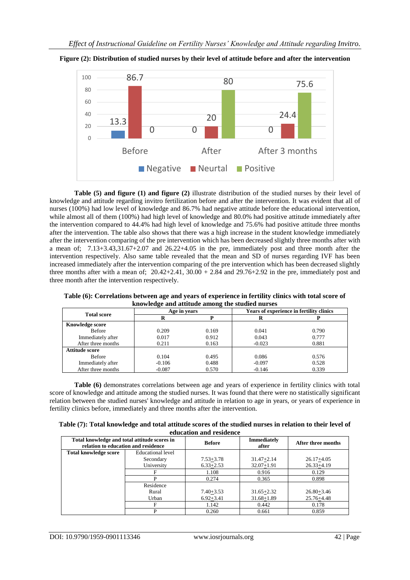

**Figure (2): Distribution of studied nurses by their level of attitude before and after the intervention**

**Table (5) and figure (1) and figure (2)** illustrate distribution of the studied nurses by their level of knowledge and attitude regarding invitro fertilization before and after the intervention. It was evident that all of nurses (100%) had low level of knowledge and 86.7% had negative attitude before the educational intervention, while almost all of them (100%) had high level of knowledge and 80.0% had positive attitude immediately after the intervention compared to 44.4% had high level of knowledge and 75.6% had positive attitude three months after the intervention. The table also shows that there was a high increase in the student knowledge immediately after the intervention comparing of the pre intervention which has been decreased slightly three months after with a mean of; 7.13+3.43,31.67+2.07 and 26.22+4.05 in the pre, immediately post and three month after the intervention respectively. Also same table revealed that the mean and SD of nurses regarding IVF has been increased immediately after the intervention comparing of the pre intervention which has been decreased slightly three months after with a mean of;  $20.42+2.41$ ,  $30.00 + 2.84$  and  $29.76+2.92$  in the pre, immediately post and three month after the intervention respectively.

|                        | Rhowiedge and attitude among the studied hurses |       |          |                                          |
|------------------------|-------------------------------------------------|-------|----------|------------------------------------------|
|                        | Age in years<br><b>Total score</b><br>R         |       |          | Years of experience in fertility clinics |
|                        |                                                 |       |          |                                          |
| <b>Knowledge score</b> |                                                 |       |          |                                          |
| <b>Before</b>          | 0.209                                           | 0.169 | 0.041    | 0.790                                    |
| Immediately after      | 0.017                                           | 0.912 | 0.043    | 0.777                                    |
| After three months     | 0.211                                           | 0.163 | $-0.023$ | 0.881                                    |
| Attitude score         |                                                 |       |          |                                          |
| <b>Before</b>          | 0.104                                           | 0.495 | 0.086    | 0.576                                    |
| Immediately after      | $-0.106$                                        | 0.488 | $-0.097$ | 0.528                                    |
| After three months     | $-0.087$                                        | 0.570 | $-0.146$ | 0.339                                    |

**Table (6): Correlations between age and years of experience in fertility clinics with total score of knowledge and attitude among the studied nurses**

**Table (6)** demonstrates correlations between age and years of experience in fertility clinics with total score of knowledge and attitude among the studied nurses. It was found that there were no statistically significant relation between the studied nurses' knowledge and attitude in relation to age in years, or years of experience in fertility clinics before, immediately and three months after the intervention.

| Table (7): Total knowledge and total attitude scores of the studied nurses in relation to their level of |
|----------------------------------------------------------------------------------------------------------|
| education and residence                                                                                  |

| Total knowledge and total attitude scores in<br>relation to education and residence |                   | <b>Before</b> | <b>Immediately</b><br>after | After three months |
|-------------------------------------------------------------------------------------|-------------------|---------------|-----------------------------|--------------------|
| <b>Total knowledge score</b>                                                        | Educational level |               |                             |                    |
|                                                                                     | Secondary         | $7.53 + 3.78$ | $31.47 + 2.14$              | $26.17 + 4.05$     |
|                                                                                     | University        | $6.33 + 2.53$ | $32.07 + 1.91$              | $26.33 + 4.19$     |
|                                                                                     | F                 | 1.108         | 0.916                       | 0.129              |
|                                                                                     | D                 | 0.274         | 0.365                       | 0.898              |
|                                                                                     | Residence         |               |                             |                    |
|                                                                                     | Rural             | $7.40 + 3.53$ | $31.65 + 2.32$              | $26.80 + 3.46$     |
|                                                                                     | Urban             | $6.92 + 3.41$ | $31.68 + 1.89$              | $25.76 + 4.48$     |
|                                                                                     | F                 | 1.142         | 0.442                       | 0.178              |
|                                                                                     | D                 | 0.260         | 0.661                       | 0.859              |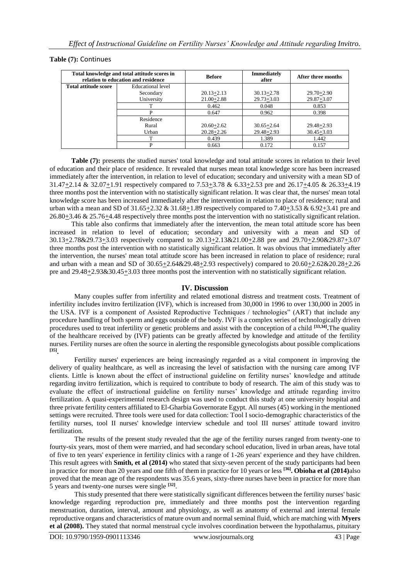### **Table (7):** Continues

| Total knowledge and total attitude scores in<br>relation to education and residence |                   | <b>Before</b>  | <b>Immediately</b><br>after | After three months |
|-------------------------------------------------------------------------------------|-------------------|----------------|-----------------------------|--------------------|
| <b>Total attitude score</b>                                                         | Educational level |                |                             |                    |
|                                                                                     | Secondary         | $20.13 + 2.13$ | $30.13 + 2.78$              | $29.70 + 2.90$     |
|                                                                                     | University        | $21.00 + 2.88$ | $29.73 + 3.03$              | $29.87 + 3.07$     |
|                                                                                     | ᠇                 | 0.462          | 0.048                       | 0.853              |
|                                                                                     |                   | 0.647          | 0.962                       | 0.398              |
|                                                                                     | Residence         |                |                             |                    |
|                                                                                     | Rural             | $20.60 + 2.62$ | $30.65 + 2.64$              | $29.48 + 2.93$     |
|                                                                                     | Urban             | $20.28 + 2.26$ | $29.48 + 2.93$              | $30.45 + 3.03$     |
|                                                                                     | ጥ                 | 0.439          | 1.389                       | 1.442              |
|                                                                                     |                   | 0.663          | 0.172                       | 0.157              |

**Table (7):** presents the studied nurses' total knowledge and total attitude scores in relation to their level of education and their place of residence. It revealed that nurses mean total knowledge score has been increased immediately after the intervention, in relation to level of education; secondary and university with a mean SD of 31.47 $\pm$ 2.14 & 32.07 $\pm$ 1.91 respectively compared to 7.53 $\pm$ 3.78 & 6.33 $\pm$ 2.53 pre and 26.17 $\pm$ 4.05 & 26.33 $\pm$ 4.19 three months post the intervention with no statistically significant relation. It was clear that, the nurses' mean total knowledge score has been increased immediately after the intervention in relation to place of residence; rural and urban with a mean and SD of  $31.65+2.32 \& 31.68+1.89$  respectively compared to  $7.40+3.53 \& 6.92+3.41$  pre and 26.80+3.46 & 25.76+4.48 respectively three months post the intervention with no statistically significant relation.

This table also confirms that immediately after the intervention, the mean total attitude score has been increased in relation to level of education; secondary and university with a mean and SD of 30.13+2.78&29.73+3.03 respectively compared to 20.13+2.13&21.00+2.88 pre and 29.70+2.90&29.87+3.07 three months post the intervention with no statistically significant relation. It was obvious that immediately after the intervention, the nurses' mean total attitude score has been increased in relation to place of residence; rural and urban with a mean and SD of  $30.65 \pm 2.64 \& 29.48 \pm 2.93$  respectively) compared to  $20.60 \pm 2.62 \& 20.28 \pm 2.26$ pre and  $29.48 \pm 2.93 \& 30.45 \pm 3.03$  three months post the intervention with no statistically significant relation.

#### **IV. Discussion**

Many couples suffer from infertility and related emotional distress and treatment costs. Treatment of infertility includes invitro fertilization (IVF), which is increased from 30,000 in 1996 to over 130,000 in 2005 in the USA. IVF is a component of Assisted Reproductive Techniques / technologies" (ART) that include any procedure handling of both sperm and eggs outside of the body. IVF is a complex series of technologically driven procedures used to treat infertility or genetic problems and assist with the conception of a child **[33,34] .**The quality of the healthcare received by (IVF) patients can be greatly affected by knowledge and attitude of the fertility nurses. Fertility nurses are often the source in alerting the responsible gynecologists about possible complications **[35] .**

Fertility nurses' experiences are being increasingly regarded as a vital component in improving the delivery of quality healthcare, as well as increasing the level of satisfaction with the nursing care among IVF clients. Little is known about the effect of instructional guideline on fertility nurses' knowledge and attitude regarding invitro fertilization, which is required to contribute to body of research. The aim of this study was to evaluate the effect of instructional guideline on fertility nurses' knowledge and attitude regarding invitro fertilization. A quasi-experimental research design was used to conduct this study at one university hospital and three private fertility centers affiliated to El-Gharbia Governorate Egypt. All nurses (45) working in the mentioned settings were recruited. Three tools were used for data collection: Tool I socio-demographic characteristics of the fertility nurses, tool II nurses' knowledge interview schedule and tool III nurses' attitude toward invitro fertilization.

The results of the present study revealed that the age of the fertility nurses ranged from twenty-one to fourty-six years, most of them were married, and had secondary school education, lived in urban areas, have total of five to ten years' experience in fertility clinics with a range of 1-26 years' experience and they have children. This result agrees with **Smith, et al (2014)** who stated that sixty-seven percent of the study participants had been in practice for more than 20 years and one fifth of them in practice for 10 years or less **[36] . Obioha et al (2014)**also proved that the mean age of the respondents was 35.6 years, sixty-three nurses have been in practice for more than 5 years and twenty-one nurses were single **[32]** .

This study presented that there were statistically significant differences between the fertility nurses' basic knowledge regarding reproduction pre, immediately and three months post the intervention regarding menstruation, duration, interval, amount and physiology, as well as anatomy of external and internal female reproductive organs and characteristics of mature ovum and normal seminal fluid, which are matching with **Myers et al (2008).** They stated that normal menstrual cycle involves coordination between the hypothalamus, pituitary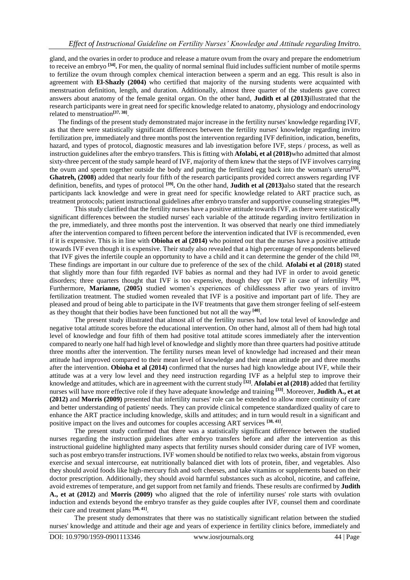gland, and the ovaries in order to produce and release a mature ovum from the ovary and prepare the endometrium to receive an embryo **[34] .** For men, the quality of normal seminal fluid includes sufficient number of motile sperms to fertilize the ovum through complex chemical interaction between a sperm and an egg. This result is also in agreement with **El-Shazly (2004)** who certified that majority of the nursing students were acquainted with menstruation definition, length, and duration. Additionally, almost three quarter of the students gave correct answers about anatomy of the female genital organ. On the other hand, **Judith et al (2013)**illustrated that the research participants were in great need for specific knowledge related to anatomy, physiology and endocrinology related to menstruation**[37, 38]** .

The findings of the present study demonstrated major increase in the fertility nurses' knowledge regarding IVF, as that there were statistically significant differences between the fertility nurses' knowledge regarding invitro fertilization pre, immediately and three months post the intervention regarding IVF definition, indication, benefits, hazard, and types of protocol, diagnostic measures and lab investigation before IVF, steps / process, as well as instruction guidelines after the embryo transfers. This is fitting with **Afolabi, et al (2018)**who admitted that almost sixty-three percent of the study sample heard of IVF, majority of them knew that the steps of IVF involves carrying the ovum and sperm together outside the body and putting the fertilized egg back into the woman's uterus**[33] . Ghatreh, (2008)** added that nearly four fifth of the research participants provided correct answers regarding IVF definition, benefits, and types of protocol **[39] .** On the other hand, **Judith et al (2013)**also stated that the research participants lack knowledge and were in great need for specific knowledge related to ART practice such, as treatment protocols; patient instructional guidelines after embryo transfer and supportive counseling strategies **[38] .**

This study clarified that the fertility nurses have a positive attitude towards IVF, as there were statistically significant differences between the studied nurses' each variable of the attitude regarding invitro fertilization in the pre, immediately, and three months post the intervention. It was observed that nearly one third immediately after the intervention compared to fifteen percent before the intervention indicated that IVF is recommended, even if it is expensive. This is in line with **Obioha et al (2014)** who pointed out that the nurses have a positive attitude towards IVF even though it is expensive. Their study also revealed that a high percentage of respondents believed that IVF gives the infertile couple an opportunity to have a child and it can determine the gender of the child **[32]** . These findings are important in our culture due to preference of the sex of the child. **Afolabi et al (2018)** stated that slightly more than four fifth regarded IVF babies as normal and they had IVF in order to avoid genetic disorders; three quarters thought that IVF is too expensive, though they opt IVF in case of infertility **[33] .** Furthermore, **Marianne,** (**2005)** studied women's experiences of childlessness after two years of invitro fertilization treatment. The studied women revealed that IVF is a positive and important part of life. They are pleased and proud of being able to participate in the IVF treatments that gave them stronger feeling of self-esteem as they thought that their bodies have been functioned but not all the way **[40]** .

The present study illustrated that almost all of the fertility nurses had low total level of knowledge and negative total attitude scores before the educational intervention. On other hand, almost all of them had high total level of knowledge and four fifth of them had positive total attitude scores immediately after the intervention compared to nearly one half had high level of knowledge and slightly more than three quarters had positive attitude three months after the intervention. The fertility nurses mean level of knowledge had increased and their mean attitude had improved compared to their mean level of knowledge and their mean attitude pre and three months after the intervention. **Obioha et al (2014)** confirmed that the nurses had high knowledge about IVF, while their attitude was at a very low level and they need instruction regarding IVF as a helpful step to improve their knowledge and attitudes, which are in agreement with the current study **[32]** . **Afolabi et al (2018)** added that fertility nurses will have more effective role if they have adequate knowledge and training **[33]**. Moreover, **Judith A., et at (2012)** and **Morris (2009)** presented that infertility nurses' role can be extended to allow more continuity of care and better understanding of patients' needs. They can provide clinical competence standardized quality of care to enhance the ART practice including knowledge, skills and attitudes; and in turn would result in a significant and positive impact on the lives and outcomes for couples accessing ART services <sup>[38, 41]</sup>.

The present study confirmed that there was a statistically significant difference between the studied nurses regarding the instruction guidelines after embryo transfers before and after the intervention as this instructional guideline highlighted many aspects that fertility nurses should consider during care of IVF women, such as post embryo transfer instructions. IVF women should be notified to relax two weeks, abstain from vigorous exercise and sexual intercourse, eat nutritionally balanced diet with lots of protein, fiber, and vegetables. Also they should avoid foods like high-mercury fish and soft cheeses, and take vitamins or supplements based on their doctor prescription. Additionally, they should avoid harmful substances such as alcohol, nicotine, and caffeine, avoid extremes of temperature, and get support from net family and friends. These results are confirmed by **Judith A., et at (2012)** and **Morris (2009)** who aligned that the role of infertility nurses' role starts with ovulation induction and extends beyond the embryo transfer as they guide couples after IVF, counsel them and coordinate their care and treatment plans **[38, 41]** .

The present study demonstrates that there was no statistically significant relation between the studied nurses' knowledge and attitude and their age and years of experience in fertility clinics before, immediately and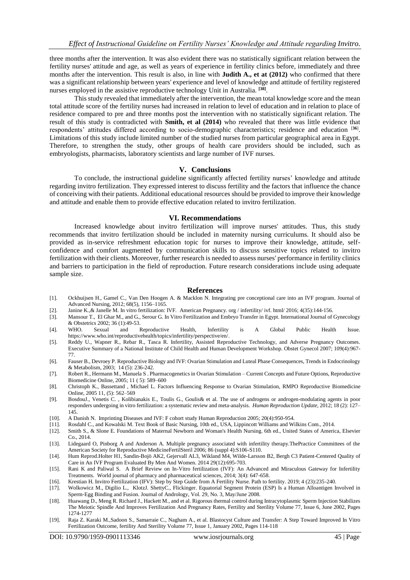three months after the intervention. It was also evident there was no statistically significant relation between the fertility nurses' attitude and age, as well as years of experience in fertility clinics before, immediately and three months after the intervention. This result is also, in line with **Judith A., et at (2012)** who confirmed that there was a significant relationship between years' experience and level of knowledge and attitude of fertility registered nurses employed in the assistive reproductive technology Unit in Australia. **[38]** .

This study revealed that immediately after the intervention, the mean total knowledge score and the mean total attitude score of the fertility nurses had increased in relation to level of education and in relation to place of residence compared to pre and three months post the intervention with no statistically significant relation. The result of this study is contradicted with **Smith, et al (2014)** who revealed that there was little evidence that respondents' attitudes differed according to socio-demographic characteristics; residence and education [**36**] . Limitations of this study include limited number of the studied nurses from particular geographical area in Egypt. Therefore, to strengthen the study, other groups of health care providers should be included, such as embryologists, pharmacists, laboratory scientists and large number of IVF nurses.

#### **V. Conclusions**

To conclude, the instructional guideline significantly affected fertility nurses' knowledge and attitude regarding invitro fertilization. They expressed interest to discuss fertility and the factors that influence the chance of conceiving with their patients. Additional educational resources should be provided to improve their knowledge and attitude and enable them to provide effective education related to invitro fertilization.

#### **VI. Recommendations**

Increased knowledge about invitro fertilization will improve nurses' attitudes. Thus, this study recommends that invitro fertilization should be included in maternity nursing curriculums. It should also be provided as in-service refreshment education topic for nurses to improve their knowledge, attitude, selfconfidence and comfort augmented by communication skills to discuss sensitive topics related to invitro fertilization with their clients. Moreover, further research is needed to assess nurses' performance in fertility clinics and barriers to participation in the field of reproduction. Future research considerations include using adequate sample size.

#### **References**

- [1]. Ockhuijsen H., Gamel C., Van Den Hoogen A. & Macklon N. Integrating pre conceptional care into an IVF program. Journal of Advanced Nursing, 2012; 68(5), 1156–1165.
- [2]. [Janine K.](https://www.healthline.com/medical-team),& Janelle M. In vitro fertilization: IVF. [American Pregnancy. org](http://www.americanpregnancy.org/infertility/ivf.html/) / infertility/ ivf. html/ 2016; 4(35):144-156.
- [3]. [Mansour](https://obgyn.onlinelibrary.wiley.com/action/doSearch?ContribAuthorStored=Mansour%2C+RT) T.[, El Ghar](https://obgyn.onlinelibrary.wiley.com/action/doSearch?ContribAuthorStored=el+Ghar%2C+M) M., an[d G., Serour](https://obgyn.onlinelibrary.wiley.com/action/doSearch?ContribAuthorStored=Serour%2C+GI) G. In Vitro Fertilization and Embryo Transfer in Egypt. International Journal of Gynecology & Obstetrics 2002; 36 (1):49-53.
- [4]. WHO. Sexual and Reproductive Health, Infertility is A Global Public Health Issue. [https://www.who.int/reproductivehealth/topics/infertility/perspective/en/.](https://www.who.int/reproductivehealth/topics/infertility/perspective/en/)
- [5]. Reddy U., Wapner R., Rebar R., Tasca R. Infertility, Assisted Reproductive Technology, and Adverse Pregnancy Outcomes. Executive Summary of a National Institute of Child Health and Human Development Workshop. Obstet Gynecol 2007; 109(4):967- 77.
- [6]. [Fauser](https://www.sciencedirect.com/science/article/abs/pii/S1043276003000754#!) B.[, Devroey](https://www.sciencedirect.com/science/article/abs/pii/S1043276003000754#!) P. Reproductive Biology and IVF: Ovarian Stimulation and Luteal Phase Consequences, Trends in Endocrinology & Metabolism, 2003[; 14 \(5\)](https://www.sciencedirect.com/science/journal/10432760/14/5): 236-242.
- [7]. Robert R., Hermann M.[, Manuela S .](javascript:void(0);) Pharmacogenetics in Ovarian Stimulation Current Concepts and Future Options, Reproductive Biomedicine Online[, 2005;](https://www.rbmojournal.com/issue/S1472-6483(10)X6066-7) 11 ( 5): 589–600
- [8]. Christoph K., [Bassetta](javascript:void(0);)nd , [Michael L.](javascript:void(0);) Factors Influencing Response to Ovarian Stimulation, RMPO Reproductive Biomedicine Online, [2005](https://www.rbmojournal.com/issue/S1472-6483(10)X6066-7) 11, (5): 562–569
- [9]. [BosdouJ](javascript:;)., [Venetis](javascript:;) C. , [Kolibianakis](javascript:;) E., [Toulis](javascript:;) [G., Goulis&](javascript:;) et al. The use of androgens or androgen-modulating agents in poor responders undergoing in vitro fertilization: a systematic review and meta-analysis. *Human Reproduction Update*, 2012; 18 (2): 127– 145.
- [10]. A Danish N. Imprinting Diseases and IVF: F cohort study Human Reproduction 2005; 20(4):950-954.
- [11]. Rosdahl C., and Kowalski M. Text Book of Basic Nursing, 10th ed., USA, Lippincott Williams and Wilkins Com., 2014.
- [12]. Smith S., & Slone E. Foundations of Maternal Newborn and Woman's Health Nursing. 6th ed., United States of America, Elsevier Co., 2014.
- [13]. Lidegaard O, Pinborg A and Anderson A. Multiple pregnancy associated with infertility therapy.ThePractice Committees of the American Society for Reproductive MedicineFertilSteril 2006; 86 (suppl 4):S106-S110.
- [14]. [Hum Reprod.](file:///E:/Ø§ÙØ§Ø¨Ø­Ø§Ø«%20Ø§Ù%20Ø´Ø§Ø¡%20Ø§ÙÙÙ/IVf/ÙØµØ§Ø¯Ø±%20Ø§ÙØ¨Ø­Ø«/9.htm)[Holter H1](https://www.ncbi.nlm.nih.gov/pubmed/?term=Holter%20H%5BAuthor%5D&cauthor=true&cauthor_uid=25316450)[, Sandin-Bojö AK2](https://www.ncbi.nlm.nih.gov/pubmed/?term=Sandin-Boj%C3%B6%20AK%5BAuthor%5D&cauthor=true&cauthor_uid=25316450), [Gejervall AL3](https://www.ncbi.nlm.nih.gov/pubmed/?term=Gejervall%20AL%5BAuthor%5D&cauthor=true&cauthor_uid=25316450)[, Wikland M4](https://www.ncbi.nlm.nih.gov/pubmed/?term=Wikland%20M%5BAuthor%5D&cauthor=true&cauthor_uid=25316450), [Wilde-Larsson B2](https://www.ncbi.nlm.nih.gov/pubmed/?term=Wilde-Larsson%20B%5BAuthor%5D&cauthor=true&cauthor_uid=25316450)[, Bergh C3](https://www.ncbi.nlm.nih.gov/pubmed/?term=Bergh%20C%5BAuthor%5D&cauthor=true&cauthor_uid=25316450) Patient-Centered Quality of Care in An IVF Program Evaluated By Men And Women. 2014 29(12):695-703.
- [15]. Rani K and Paliwal S. A Brief Review on In-Vitro fertilization (IVF): An Advanced and Miraculous Gateway for Infertility Treatments. World journal of pharmacy and pharmaceutical sciences, 2014; 3(4): 647-658.
- [16]. Krestian H. Invitro Fertilization (IFV): Step by Step Guide from A Fertility Nurse. Path to fertility. 2019; 4 (23):235-240.
- [17]. [Wolkowicz](https://onlinelibrary.wiley.com/action/doSearch?ContribAuthorStored=Wolkowicz%2C+M+J) M., [Digilio](https://onlinelibrary.wiley.com/action/doSearch?ContribAuthorStored=Digilio%2C+L) L., [Klotz](https://onlinelibrary.wiley.com/action/doSearch?ContribAuthorStored=Klotz%2C+K)[J. Shetty](https://onlinelibrary.wiley.com/action/doSearch?ContribAuthorStored=Shetty%2C+J)[C., Flickinger.](https://onlinelibrary.wiley.com/action/doSearch?ContribAuthorStored=Flickinger%2C+C+J) Equatorial Segment Protein (ESP) Is a Human Alloantigen Involved in Sperm‐Egg Binding and Fusion. Journal of Andrology, Vol. 29, No. 3, May/June 2008.
- [18]. Huawang D., [Meng R. Richard J., Hackett M., and et al.](https://www.sciencedirect.com/science/article/pii/S0015028202031175#!) Rigorous thermal control during Intracytoplasmic Sperm Injection Stabilizes The Meiotic Spindle And Improves Fertilization And Pregnancy Rates, [Fertility and Sterility](https://www.sciencedirect.com/science/journal/00150282) [Volume 77, Issue 6,](https://www.sciencedirect.com/science/journal/00150282/77/6) June 2002, Pages 1274-1277
- [19]. [Raja Z. Karaki M.,Sadoon S., Samarraie C.,](https://www.sciencedirect.com/science/article/pii/S0015028201029399#!) [Nagham A., et al.](https://www.sciencedirect.com/science/article/pii/S0015028201029399#!) Blastocyst Culture and Transfer: A Step Toward Improved In Vitro Fertilization Outcome[, fertility And Sterility](https://www.sciencedirect.com/science/journal/00150282) [Volume 77, Issue 1,](https://www.sciencedirect.com/science/journal/00150282/77/1) January 2002, Pages 114-118